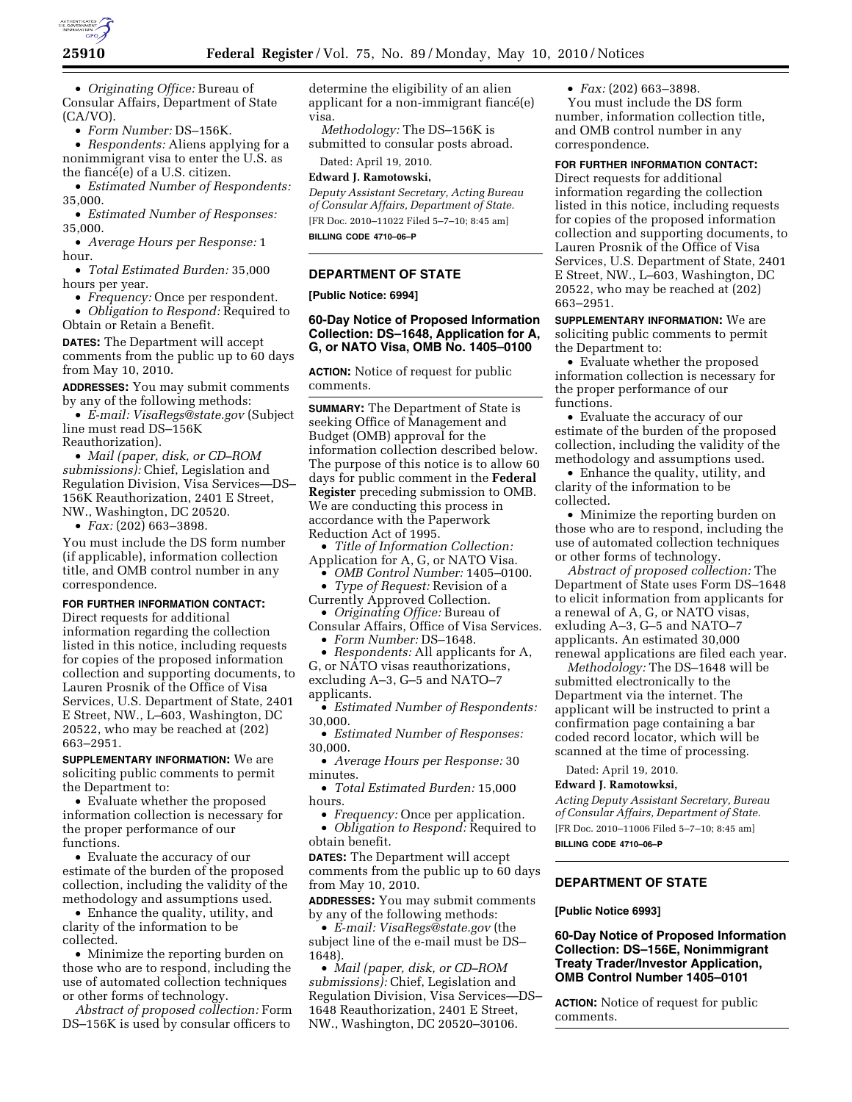

• *Originating Office:* Bureau of Consular Affairs, Department of State (CA/VO).

• *Form Number:* DS–156K.

• *Respondents:* Aliens applying for a nonimmigrant visa to enter the U.S. as the fiancé(e) of a U.S. citizen.

• *Estimated Number of Respondents:*  35,000.

• *Estimated Number of Responses:*  35,000.

• *Average Hours per Response:* 1 hour.

• *Total Estimated Burden:* 35,000 hours per year.

• *Frequency:* Once per respondent.

• *Obligation to Respond:* Required to Obtain or Retain a Benefit.

**DATES:** The Department will accept comments from the public up to 60 days from May 10, 2010.

**ADDRESSES:** You may submit comments by any of the following methods:

• *E-mail: VisaRegs@state.gov* (Subject line must read DS–156K Reauthorization).

• *Mail (paper, disk, or CD–ROM submissions):* Chief, Legislation and Regulation Division, Visa Services—DS– 156K Reauthorization, 2401 E Street, NW., Washington, DC 20520.

• *Fax:* (202) 663–3898.

You must include the DS form number (if applicable), information collection title, and OMB control number in any correspondence.

## **FOR FURTHER INFORMATION CONTACT:**

Direct requests for additional information regarding the collection listed in this notice, including requests for copies of the proposed information collection and supporting documents, to Lauren Prosnik of the Office of Visa Services, U.S. Department of State, 2401 E Street, NW., L–603, Washington, DC 20522, who may be reached at (202) 663–2951.

**SUPPLEMENTARY INFORMATION:** We are soliciting public comments to permit the Department to:

• Evaluate whether the proposed information collection is necessary for the proper performance of our functions.

• Evaluate the accuracy of our estimate of the burden of the proposed collection, including the validity of the methodology and assumptions used.

• Enhance the quality, utility, and clarity of the information to be collected.

• Minimize the reporting burden on those who are to respond, including the use of automated collection techniques or other forms of technology.

*Abstract of proposed collection:* Form DS–156K is used by consular officers to

determine the eligibility of an alien applicant for a non-immigrant fiance $(e)$ visa.

*Methodology:* The DS–156K is submitted to consular posts abroad.

Dated: April 19, 2010. **Edward J. Ramotowski,** 

*Deputy Assistant Secretary, Acting Bureau of Consular Affairs, Department of State.*  [FR Doc. 2010–11022 Filed 5–7–10; 8:45 am] **BILLING CODE 4710–06–P** 

### **DEPARTMENT OF STATE**

### **[Public Notice: 6994]**

## **60-Day Notice of Proposed Information Collection: DS–1648, Application for A, G, or NATO Visa, OMB No. 1405–0100**

**ACTION:** Notice of request for public comments.

**SUMMARY:** The Department of State is seeking Office of Management and Budget (OMB) approval for the information collection described below. The purpose of this notice is to allow 60 days for public comment in the **Federal Register** preceding submission to OMB. We are conducting this process in accordance with the Paperwork Reduction Act of 1995.

• *Title of Information Collection:*  Application for A, G, or NATO Visa.

• *OMB Control Number:* 1405–0100.

• *Type of Request:* Revision of a Currently Approved Collection.

• *Originating Office:* Bureau of Consular Affairs, Office of Visa Services.

• *Form Number:* DS–1648.

• *Respondents:* All applicants for A, G, or NATO visas reauthorizations, excluding A–3, G–5 and NATO–7 applicants.

• *Estimated Number of Respondents:*  30,000.

• *Estimated Number of Responses:*  30,000.

• *Average Hours per Response:* 30 minutes.

• *Total Estimated Burden:* 15,000 hours.

• *Frequency:* Once per application. • *Obligation to Respond:* Required to obtain benefit.

**DATES:** The Department will accept comments from the public up to 60 days from May 10, 2010.

**ADDRESSES:** You may submit comments by any of the following methods:

• *E-mail: VisaRegs@state.gov* (the subject line of the e-mail must be DS– 1648).

• *Mail (paper, disk, or CD–ROM submissions):* Chief, Legislation and Regulation Division, Visa Services—DS– 1648 Reauthorization, 2401 E Street, NW., Washington, DC 20520–30106.

• *Fax:* (202) 663–3898.

You must include the DS form number, information collection title, and OMB control number in any correspondence.

#### **FOR FURTHER INFORMATION CONTACT:**

Direct requests for additional information regarding the collection listed in this notice, including requests for copies of the proposed information collection and supporting documents, to Lauren Prosnik of the Office of Visa Services, U.S. Department of State, 2401 E Street, NW., L–603, Washington, DC 20522, who may be reached at (202) 663–2951.

**SUPPLEMENTARY INFORMATION:** We are soliciting public comments to permit the Department to:

• Evaluate whether the proposed information collection is necessary for the proper performance of our functions.

• Evaluate the accuracy of our estimate of the burden of the proposed collection, including the validity of the methodology and assumptions used.

• Enhance the quality, utility, and clarity of the information to be collected.

• Minimize the reporting burden on those who are to respond, including the use of automated collection techniques or other forms of technology.

*Abstract of proposed collection:* The Department of State uses Form DS–1648 to elicit information from applicants for a renewal of A, G, or NATO visas, exluding A–3, G–5 and NATO–7 applicants. An estimated 30,000 renewal applications are filed each year.

*Methodology:* The DS–1648 will be submitted electronically to the Department via the internet. The applicant will be instructed to print a confirmation page containing a bar coded record locator, which will be scanned at the time of processing.

Dated: April 19, 2010.

#### **Edward J. Ramotowksi,**

*Acting Deputy Assistant Secretary, Bureau of Consular Affairs, Department of State.*  [FR Doc. 2010–11006 Filed 5–7–10; 8:45 am] **BILLING CODE 4710–06–P** 

# **DEPARTMENT OF STATE**

### **[Public Notice 6993]**

## **60-Day Notice of Proposed Information Collection: DS–156E, Nonimmigrant Treaty Trader/Investor Application, OMB Control Number 1405–0101**

**ACTION:** Notice of request for public comments.